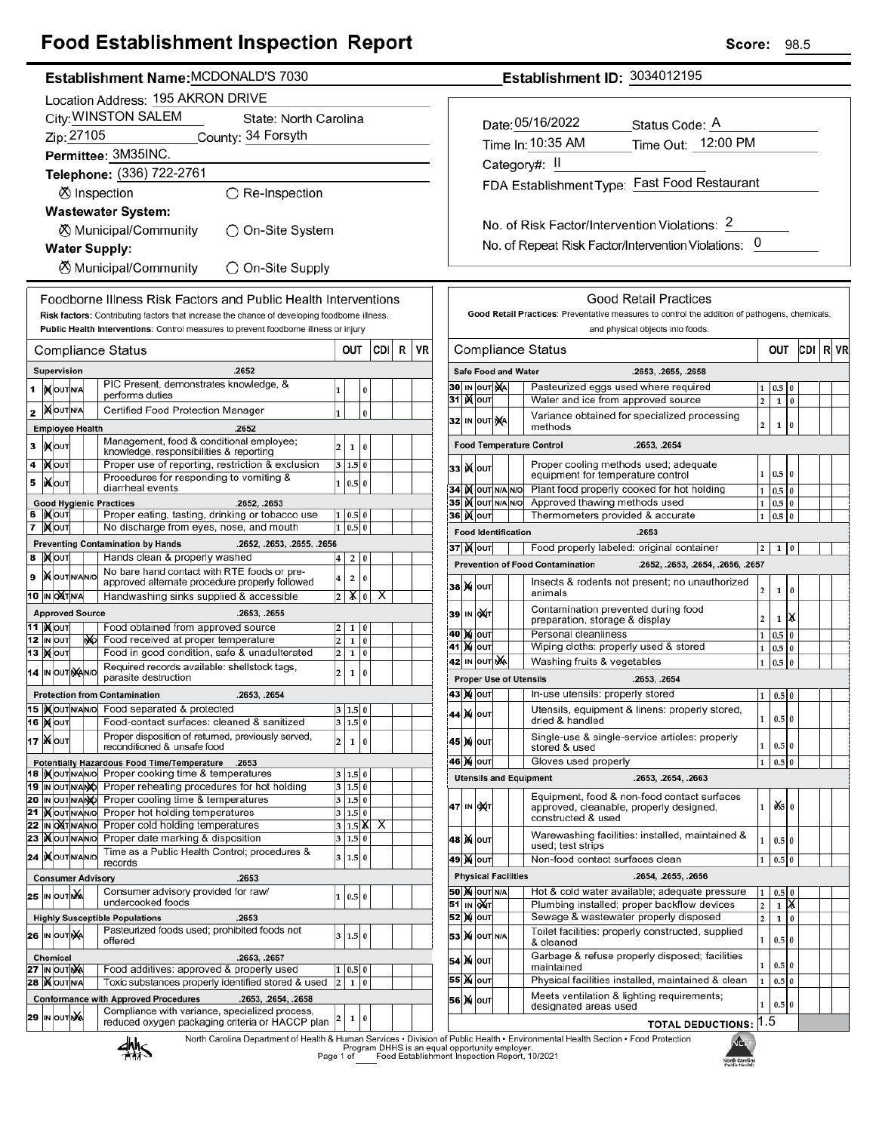## **Food Establishment Inspection Report**

|                                           | Establishment Name: MCDONALD'S 7030                                                                            |                                    |  |    |                                                                                                                      |                              |                    |          |     |   |    |
|-------------------------------------------|----------------------------------------------------------------------------------------------------------------|------------------------------------|--|----|----------------------------------------------------------------------------------------------------------------------|------------------------------|--------------------|----------|-----|---|----|
|                                           | Location Address: 195 AKRON DRIVE                                                                              |                                    |  |    |                                                                                                                      |                              |                    |          |     |   |    |
|                                           |                                                                                                                |                                    |  |    | City: WINSTON SALEM<br>State: North Carolina                                                                         |                              |                    |          |     |   |    |
|                                           | Zip: 27105<br>County: 34 Forsyth                                                                               |                                    |  |    |                                                                                                                      |                              |                    |          |     |   |    |
|                                           |                                                                                                                |                                    |  |    | Permittee: 3M35INC.                                                                                                  |                              |                    |          |     |   |    |
|                                           |                                                                                                                |                                    |  |    | Telephone: (336) 722-2761                                                                                            |                              |                    |          |     |   |    |
|                                           |                                                                                                                |                                    |  |    | <b>Ø</b> Inspection<br>$\bigcirc$ Re-Inspection                                                                      |                              |                    |          |     |   |    |
|                                           |                                                                                                                |                                    |  |    | <b>Wastewater System:</b>                                                                                            |                              |                    |          |     |   |    |
|                                           | ⊗ Municipal/Community<br>◯ On-Site System                                                                      |                                    |  |    |                                                                                                                      |                              |                    |          |     |   |    |
|                                           | <b>Water Supply:</b>                                                                                           |                                    |  |    |                                                                                                                      |                              |                    |          |     |   |    |
| ⊗ Municipal/Community<br>◯ On-Site Supply |                                                                                                                |                                    |  |    |                                                                                                                      |                              |                    |          |     |   |    |
|                                           |                                                                                                                |                                    |  |    |                                                                                                                      |                              |                    |          |     |   |    |
|                                           |                                                                                                                |                                    |  |    | Foodborne Illness Risk Factors and Public Health Interventions                                                       |                              |                    |          |     |   |    |
|                                           |                                                                                                                |                                    |  |    | Risk factors: Contributing factors that increase the chance of developing foodborne illness.                         |                              |                    |          |     |   |    |
|                                           |                                                                                                                |                                    |  |    | Public Health Interventions: Control measures to prevent foodborne illness or injury                                 |                              |                    |          |     |   |    |
|                                           |                                                                                                                |                                    |  |    | Compliance Status                                                                                                    | OUT                          |                    |          | CDI | R | VR |
|                                           |                                                                                                                | Supervision                        |  |    | .2652                                                                                                                |                              |                    |          |     |   |    |
| 1                                         |                                                                                                                | <b>IX</b> OUTNA                    |  |    | PIC Present, demonstrates knowledge, &<br>performs duties                                                            | 1                            |                    | 0        |     |   |    |
| 2                                         |                                                                                                                | <b>KOUTNA</b>                      |  |    | Certified Food Protection Manager                                                                                    | 1                            |                    | 0        |     |   |    |
|                                           |                                                                                                                | <b>Employee Health</b>             |  |    | .2652                                                                                                                |                              |                    |          |     |   |    |
| 3                                         |                                                                                                                | <b>іχ</b> оυт                      |  |    | Management, food & conditional employee;                                                                             | 2                            | 1                  | 0        |     |   |    |
| 4                                         |                                                                                                                | ้)∢∣оυт                            |  |    | knowledge, responsibilities & reporting<br>Proper use of reporting, restriction & exclusion                          | 3                            | 1.5                | $\bf{0}$ |     |   |    |
| 5                                         |                                                                                                                | liXlouт                            |  |    | Procedures for responding to vomiting &                                                                              | 1                            | 0.5                | 0        |     |   |    |
|                                           |                                                                                                                |                                    |  |    | diarrheal events                                                                                                     |                              |                    |          |     |   |    |
| 6                                         |                                                                                                                | <b>IXOUT</b>                       |  |    | <b>Good Hygienic Practices</b><br>.2652, .2653<br>Proper eating, tasting, drinking or tobacco use                    | 1                            | 0.5                | $\bf{0}$ |     |   |    |
| 7                                         |                                                                                                                | <b>X</b> OUT                       |  |    | No discharge from eyes, nose, and mouth                                                                              | 1                            | 0.5                | $\bf{0}$ |     |   |    |
|                                           |                                                                                                                |                                    |  |    | <b>Preventing Contamination by Hands</b><br>.2652, .2653, .2655, .2656                                               |                              |                    |          |     |   |    |
| 8                                         |                                                                                                                | <b>XOUT</b>                        |  |    | Hands clean & properly washed<br>No bare hand contact with RTE foods or pre-                                         | 4                            | 2                  | 0        |     |   |    |
| 9                                         |                                                                                                                | <b>X</b> OUTNANO                   |  |    | approved alternate procedure properly followed                                                                       | 4                            | 2                  | 0        |     |   |    |
|                                           |                                                                                                                | 10 IN OXTN/A                       |  |    | Handwashing sinks supplied & accessible                                                                              | 2                            | x                  | 0        | х   |   |    |
|                                           |                                                                                                                | <b>Approved Source</b>             |  |    | .2653, .2655                                                                                                         |                              |                    |          |     |   |    |
| 11<br>12                                  |                                                                                                                | <b>XOUT</b><br>IN OUT              |  | ŃЮ | Food obtained from approved source<br>Food received at proper temperature                                            | 2<br>$\overline{\mathbf{c}}$ | 1<br>1             | 0<br>0   |     |   |    |
| 13                                        |                                                                                                                | <b>X</b> OUT                       |  |    | Food in good condition, safe & unadulterated                                                                         | 2                            | 1                  | 0        |     |   |    |
|                                           |                                                                                                                | 14 IN OUT NANO                     |  |    | Required records available: shellstock tags,<br>parasite destruction                                                 | 2                            | 1                  | 0        |     |   |    |
|                                           |                                                                                                                |                                    |  |    | <b>Protection from Contamination</b><br>.2653, .2654                                                                 |                              |                    |          |     |   |    |
|                                           |                                                                                                                |                                    |  |    | 15  Xout NAVO Food separated & protected                                                                             | з                            | 1.5 0              |          |     |   |    |
|                                           |                                                                                                                | <b>16  Х</b>  оит                  |  |    | Food-contact surfaces: cleaned & sanitized                                                                           | 3                            | 1.5 0              |          |     |   |    |
|                                           |                                                                                                                | <b>17   Мо</b> ит                  |  |    | Proper disposition of returned, previously served,<br>reconditioned & unsafe food                                    | 2                            | 1                  | 0        |     |   |    |
|                                           |                                                                                                                |                                    |  |    | Potentially Hazardous Food Time/Temperature<br>.2653                                                                 |                              |                    |          |     |   |    |
|                                           |                                                                                                                | 18  IX OUT N/AN/O                  |  |    | Proper cooking time & temperatures                                                                                   | 3                            | 1.5 0              |          |     |   |    |
|                                           |                                                                                                                | 19 IN OUT N/ANO<br>20 IN OUT N/ANO |  |    | Proper reheating procedures for hot holding<br>Proper cooling time & temperatures                                    | 3<br>3                       | 1.5 0<br>1.5 0     |          |     |   |    |
| 21                                        |                                                                                                                | <b>XOUTNANO</b>                    |  |    | Proper hot holding temperatures                                                                                      | 3                            | 1.5 0              |          |     |   |    |
| 22                                        |                                                                                                                | IN OXTNANO                         |  |    | Proper cold holding temperatures                                                                                     | 3                            | $1.5\vert\text{X}$ |          | х   |   |    |
|                                           |                                                                                                                | 23   OUTNANO                       |  |    | Proper date marking & disposition<br>Time as a Public Health Control; procedures &                                   | 3                            | 1.5 0              |          |     |   |    |
|                                           |                                                                                                                | 24  KOUTNANO                       |  |    | records                                                                                                              | 3                            | 1.5                | 0        |     |   |    |
|                                           |                                                                                                                |                                    |  |    | <b>Consumer Advisory</b><br>.2653                                                                                    |                              |                    |          |     |   |    |
|                                           |                                                                                                                | 25 IN OUTING                       |  |    | Consumer advisory provided for raw/<br>undercooked foods                                                             | 1                            | 0.5 0              |          |     |   |    |
|                                           |                                                                                                                |                                    |  |    | <b>Highly Susceptible Populations</b><br>.2653                                                                       |                              |                    |          |     |   |    |
|                                           |                                                                                                                | 26 IN OUT NA                       |  |    | Pasteurized foods used; prohibited foods not                                                                         | 3                            | 1.5 0              |          |     |   |    |
|                                           | offered<br><b>Chemical</b><br>.2653, .2657                                                                     |                                    |  |    |                                                                                                                      |                              |                    |          |     |   |    |
|                                           |                                                                                                                | 27 IN OUT NA                       |  |    | Food additives: approved & properly used                                                                             | 1                            | 0.5 0              |          |     |   |    |
|                                           | Toxic substances properly identified stored & used<br><b>28   OUT N/A</b><br>$\overline{\mathbf{c}}$<br>1<br>0 |                                    |  |    |                                                                                                                      |                              |                    |          |     |   |    |
|                                           |                                                                                                                |                                    |  |    | <b>Conformance with Approved Procedures</b><br>.2653, .2654, .2658<br>Compliance with variance, specialized process, |                              |                    |          |     |   |    |
|                                           |                                                                                                                | 29 IN OUT NA                       |  |    | reduced oxygen packaging criteria or HACCP plan                                                                      | 2                            | 1                  | 0        |     |   |    |
|                                           |                                                                                                                |                                    |  |    | North Carolina Department of Health & Human Services . Division<br>. ، املا                                          |                              |                    |          |     |   |    |

No. of Risk Factor/Intervention Violations: 2 No. of Repeat Risk Factor/Intervention Violations: 0

FDA Establishment Type: Fast Food Restaurant

Establishment ID: 3034012195

Status Code: A

Time Out: 12:00 PM

Date: 05/16/2022

Time In: 10:35 AM

Category#: II

|                                                                    |                                                                                                                                                                                         |                                                                                                               |           |                                              | <b>Good Retail Practices</b>                                                                                 |              |          |          |     |    |    |
|--------------------------------------------------------------------|-----------------------------------------------------------------------------------------------------------------------------------------------------------------------------------------|---------------------------------------------------------------------------------------------------------------|-----------|----------------------------------------------|--------------------------------------------------------------------------------------------------------------|--------------|----------|----------|-----|----|----|
|                                                                    |                                                                                                                                                                                         |                                                                                                               |           |                                              | Good Retail Practices: Preventative measures to control the addition of pathogens, chemicals,                |              |          |          |     |    |    |
|                                                                    |                                                                                                                                                                                         |                                                                                                               |           |                                              | and physical objects into foods.                                                                             |              |          |          |     |    |    |
|                                                                    |                                                                                                                                                                                         |                                                                                                               |           |                                              | Compliance Status                                                                                            |              | OUT      |          | CDI | RI | VR |
|                                                                    |                                                                                                                                                                                         | <b>Safe Food and Water</b>                                                                                    |           |                                              | .2653, .2655, .2658                                                                                          |              |          |          |     |    |    |
| 30                                                                 | IN                                                                                                                                                                                      | <b>OUT</b>                                                                                                    | <b>NA</b> |                                              | Pasteurized eggs used where required                                                                         | 1            | $_{0.5}$ | 0        |     |    |    |
| 31                                                                 |                                                                                                                                                                                         | <b>IX</b> OUT<br>Water and ice from approved source                                                           |           |                                              |                                                                                                              |              | 1        | $\bf{0}$ |     |    |    |
| 32                                                                 | Variance obtained for specialized processing<br>IN OUT NA<br>methods                                                                                                                    |                                                                                                               |           |                                              |                                                                                                              |              |          | 0        |     |    |    |
| <b>Food Temperature Control</b><br>.2653, .2654                    |                                                                                                                                                                                         |                                                                                                               |           |                                              |                                                                                                              |              |          |          |     |    |    |
| 33                                                                 |                                                                                                                                                                                         | Proper cooling methods used; adequate<br><b>K</b> lout<br>equipment for temperature control                   |           |                                              |                                                                                                              |              | 0.5      | 0        |     |    |    |
| 34                                                                 |                                                                                                                                                                                         | <b>K</b> OUT N/A                                                                                              |           | N/O                                          | Plant food properly cooked for hot holding                                                                   | $\mathbf{1}$ | 0.5      | 0        |     |    |    |
| 35                                                                 |                                                                                                                                                                                         | IX OUT N/A N/O                                                                                                |           |                                              | Approved thawing methods used                                                                                | 1            | 0.5      | 0        |     |    |    |
| 36                                                                 | IX.                                                                                                                                                                                     | OUT                                                                                                           |           |                                              | Thermometers provided & accurate                                                                             | 1            | 0.5      | 0        |     |    |    |
|                                                                    |                                                                                                                                                                                         | <b>Food Identification</b>                                                                                    |           |                                              | .2653                                                                                                        |              |          |          |     |    |    |
|                                                                    |                                                                                                                                                                                         | 37  )( oυτ                                                                                                    |           |                                              | Food properly labeled: original container                                                                    | 2            | 1        | 0        |     |    |    |
|                                                                    |                                                                                                                                                                                         |                                                                                                               |           |                                              | <b>Prevention of Food Contamination</b><br>.2652, .2653, .2654, .2656, .2657                                 |              |          |          |     |    |    |
| 38                                                                 |                                                                                                                                                                                         | <b>X</b> OUT                                                                                                  |           |                                              | Insects & rodents not present; no unauthorized<br>animals                                                    | 2            | 1        | 0        |     |    |    |
| 39                                                                 |                                                                                                                                                                                         | IN OUT                                                                                                        |           |                                              | Contamination prevented during food<br>ж<br>$\overline{a}$<br>1<br>preparation, storage & display            |              |          |          |     |    |    |
| 40                                                                 |                                                                                                                                                                                         | <b>X</b> OUT                                                                                                  |           |                                              | Personal cleanliness                                                                                         | 1            | 0.5      | 0        |     |    |    |
| 41                                                                 | M                                                                                                                                                                                       | OUT                                                                                                           |           |                                              | Wiping cloths: properly used & stored                                                                        | $\mathbf 1$  | 0.5      | 0        |     |    |    |
| 42                                                                 | IN OUT NA<br>Washing fruits & vegetables                                                                                                                                                |                                                                                                               |           |                                              |                                                                                                              |              |          |          |     |    |    |
|                                                                    |                                                                                                                                                                                         |                                                                                                               |           |                                              | <b>Proper Use of Utensils</b><br>.2653, .2654                                                                |              |          |          |     |    |    |
|                                                                    |                                                                                                                                                                                         | 43   XI   OUT                                                                                                 |           | In-use utensils: properly stored<br>1<br>0.5 |                                                                                                              |              |          | 0        |     |    |    |
| 44                                                                 | M                                                                                                                                                                                       | OUT                                                                                                           |           |                                              | Utensils, equipment & linens: properly stored,<br>$\mathbf{1}$<br>0.5<br>$\bf{0}$<br>dried & handled         |              |          |          |     |    |    |
|                                                                    | Single-use & single-service articles: properly<br>45   ) Qi   OUT<br>1<br>0.5 0<br>stored & used                                                                                        |                                                                                                               |           |                                              |                                                                                                              |              |          |          |     |    |    |
| Gloves used properly<br>$\mathbf{1}$<br>46<br>M<br>OUT<br>0.5<br>0 |                                                                                                                                                                                         |                                                                                                               |           |                                              |                                                                                                              |              |          |          |     |    |    |
|                                                                    |                                                                                                                                                                                         |                                                                                                               |           |                                              | <b>Utensils and Equipment</b><br>.2653, .2654, .2663                                                         |              |          |          |     |    |    |
| 47                                                                 |                                                                                                                                                                                         | IN OUT                                                                                                        |           |                                              | Equipment, food & non-food contact surfaces<br>approved, cleanable, properly designed,<br>constructed & used | 1            | 0X5 I O  |          |     |    |    |
| 48                                                                 |                                                                                                                                                                                         | Warewashing facilities: installed, maintained &<br><b>M</b> OUT<br>$\mathbf{1}$<br>0.5 0<br>used; test strips |           |                                              |                                                                                                              |              |          |          |     |    |    |
| 49                                                                 |                                                                                                                                                                                         | <b>X</b> OUT                                                                                                  |           |                                              | Non-food contact surfaces clean                                                                              | 1            | 0.5      | 0        |     |    |    |
|                                                                    |                                                                                                                                                                                         | <b>Physical Facilities</b>                                                                                    |           |                                              | .2654, .2655, .2656                                                                                          |              |          |          |     |    |    |
| 50                                                                 |                                                                                                                                                                                         | Hot & cold water available; adequate pressure<br><b>X</b> OUT N/A                                             |           |                                              |                                                                                                              |              | 0.5      | $\bf{0}$ |     |    |    |
| 51                                                                 | IN                                                                                                                                                                                      | 1<br>X<br>QUT<br>Plumbing installed; proper backflow devices<br>$\overline{2}$<br>1                           |           |                                              |                                                                                                              |              |          |          |     |    |    |
| 52                                                                 | Sewage & wastewater properly disposed<br>)X oυτ<br>$\overline{2}$<br>$\mathbf{1}$<br>$\bf{0}$                                                                                           |                                                                                                               |           |                                              |                                                                                                              |              |          |          |     |    |    |
|                                                                    |                                                                                                                                                                                         | Toilet facilities: properly constructed, supplied<br>53 X OUT N/A<br>0.5 0<br>1<br>& cleaned                  |           |                                              |                                                                                                              |              |          |          |     |    |    |
|                                                                    |                                                                                                                                                                                         | 54 M OUT                                                                                                      |           |                                              | Garbage & refuse properly disposed; facilities<br>maintained                                                 | 1            | 0.5 0    |          |     |    |    |
|                                                                    | Physical facilities installed, maintained & clean<br>55   <b>X</b>   оит<br>1<br>0.5 0<br>Meets ventilation & lighting requirements;<br>56 M OUT<br>1<br>0.5 0<br>designated areas used |                                                                                                               |           |                                              |                                                                                                              |              |          |          |     |    |    |
|                                                                    |                                                                                                                                                                                         |                                                                                                               |           |                                              | <b>TOTAL DEDUCTIONS:</b>                                                                                     | 1.5          |          |          |     |    |    |
|                                                                    |                                                                                                                                                                                         |                                                                                                               |           |                                              | of Public Health . Environmental Health Section . Food Protection<br><b>NGPH</b>                             |              |          |          |     |    |    |



Program DHHS is an equal opportunity employer.<br>Page 1 of Food Establishment Inspection Report, 10/2021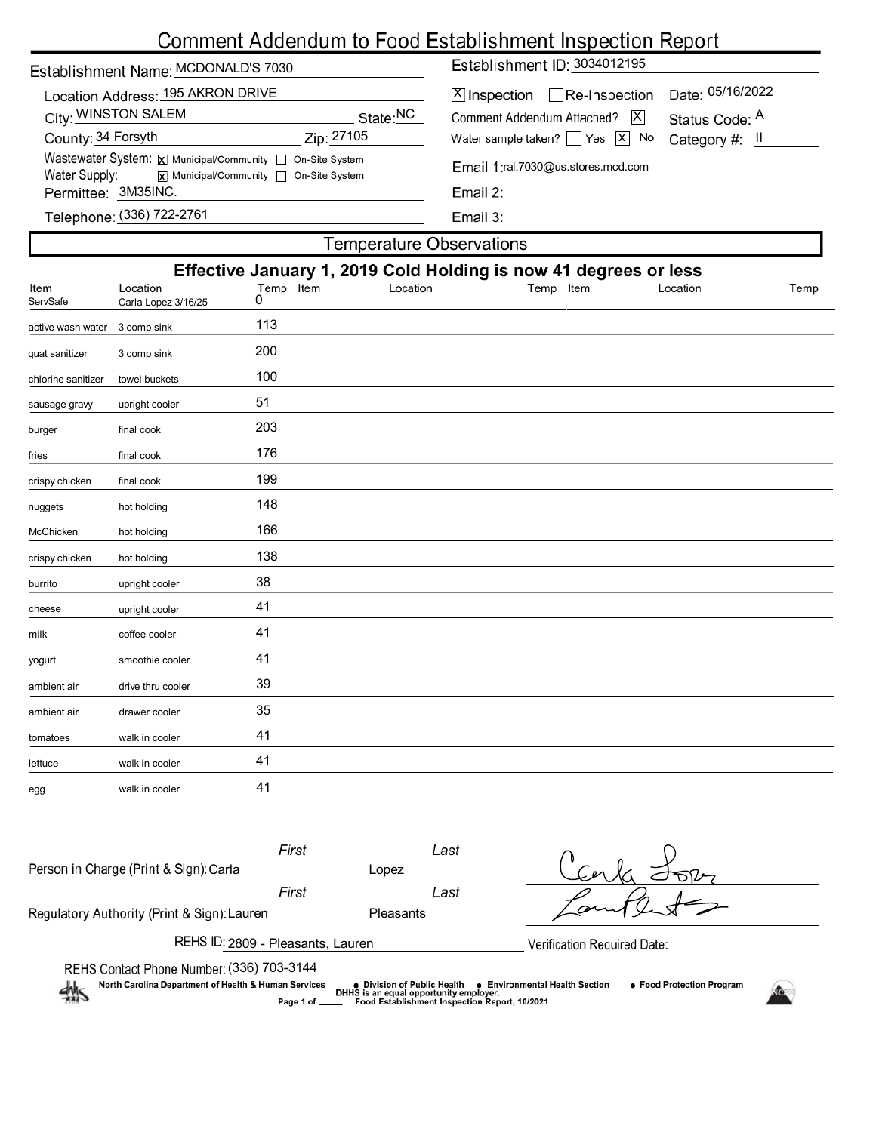# Comment Addendum to Food Establishment Inspection Report

| Establishment Name: MCDONALD'S 7030                                                                                         |            | Establishment ID: 3034012195                                        |                                    |  |  |  |  |
|-----------------------------------------------------------------------------------------------------------------------------|------------|---------------------------------------------------------------------|------------------------------------|--|--|--|--|
| Location Address: 195 AKRON DRIVE<br>City: WINSTON SALEM                                                                    | State:NC   | $[X]$ Inspection Re-Inspection<br> X <br>Comment Addendum Attached? | Date: 05/16/2022<br>Status Code: A |  |  |  |  |
| County: 34 Forsyth                                                                                                          | Zip: 27105 | Water sample taken? $\Box$ Yes $\Box$ No                            | Category #: $\parallel$            |  |  |  |  |
| Wastewater System: X Municipal/Community   On-Site System<br>Water Supply:<br><b>x</b> Municipal/Community □ On-Site System |            | Email 1:ral.7030@us.stores.mcd.com<br>Email $2$ :                   |                                    |  |  |  |  |
| Permittee: 3M35INC.                                                                                                         |            |                                                                     |                                    |  |  |  |  |
| Telephone: (336) 722-2761                                                                                                   |            | Email 3:                                                            |                                    |  |  |  |  |
| Temperature Observations                                                                                                    |            |                                                                     |                                    |  |  |  |  |

| i omporatare essesi ratione                                      |                                 |                |          |           |          |      |  |
|------------------------------------------------------------------|---------------------------------|----------------|----------|-----------|----------|------|--|
| Effective January 1, 2019 Cold Holding is now 41 degrees or less |                                 |                |          |           |          |      |  |
| Item<br>ServSafe                                                 | Location<br>Carla Lopez 3/16/25 | Temp Item<br>0 | Location | Temp Item | Location | Temp |  |
| active wash water                                                | 3 comp sink                     | 113            |          |           |          |      |  |
| quat sanitizer                                                   | 3 comp sink                     | 200            |          |           |          |      |  |
| chlorine sanitizer                                               | towel buckets                   | 100            |          |           |          |      |  |
| sausage gravy                                                    | upright cooler                  | 51             |          |           |          |      |  |
| burger                                                           | final cook                      | 203            |          |           |          |      |  |
| fries                                                            | final cook                      | 176            |          |           |          |      |  |
| crispy chicken                                                   | final cook                      | 199            |          |           |          |      |  |
| nuggets                                                          | hot holding                     | 148            |          |           |          |      |  |
| McChicken                                                        | hot holding                     | 166            |          |           |          |      |  |
| crispy chicken                                                   | hot holding                     | 138            |          |           |          |      |  |
| burrito                                                          | upright cooler                  | 38             |          |           |          |      |  |
| cheese                                                           | upright cooler                  | 41             |          |           |          |      |  |
| milk                                                             | coffee cooler                   | 41             |          |           |          |      |  |
| yogurt                                                           | smoothie cooler                 | 41             |          |           |          |      |  |
| ambient air                                                      | drive thru cooler               | 39             |          |           |          |      |  |
| ambient air                                                      | drawer cooler                   | 35             |          |           |          |      |  |
| tomatoes                                                         | walk in cooler                  | 41             |          |           |          |      |  |
| lettuce                                                          | walk in cooler                  | 41             |          |           |          |      |  |
| egg                                                              | walk in cooler                  | 41             |          |           |          |      |  |
|                                                                  |                                 |                |          |           |          |      |  |

| Person in Charge (Print & Sign): Carla                                                            | First<br>Last  |                                                                                                                        |                                                                  |
|---------------------------------------------------------------------------------------------------|----------------|------------------------------------------------------------------------------------------------------------------------|------------------------------------------------------------------|
|                                                                                                   | First          | Lopez<br>Last                                                                                                          |                                                                  |
| Regulatory Authority (Print & Sign): Lauren                                                       |                | <b>Pleasants</b>                                                                                                       |                                                                  |
| REHS ID: 2809 - Pleasants, Lauren                                                                 |                | Verification Required Date:                                                                                            |                                                                  |
| REHS Contact Phone Number: (336) 703-3144<br>North Carolina Department of Health & Human Services | Page 1 of ____ | • Division of Public Health<br>DHHS is an equal opportunity employer.<br>Food Establishment Inspection Report, 10/2021 | • Food Protection Program<br><b>Environmental Health Section</b> |